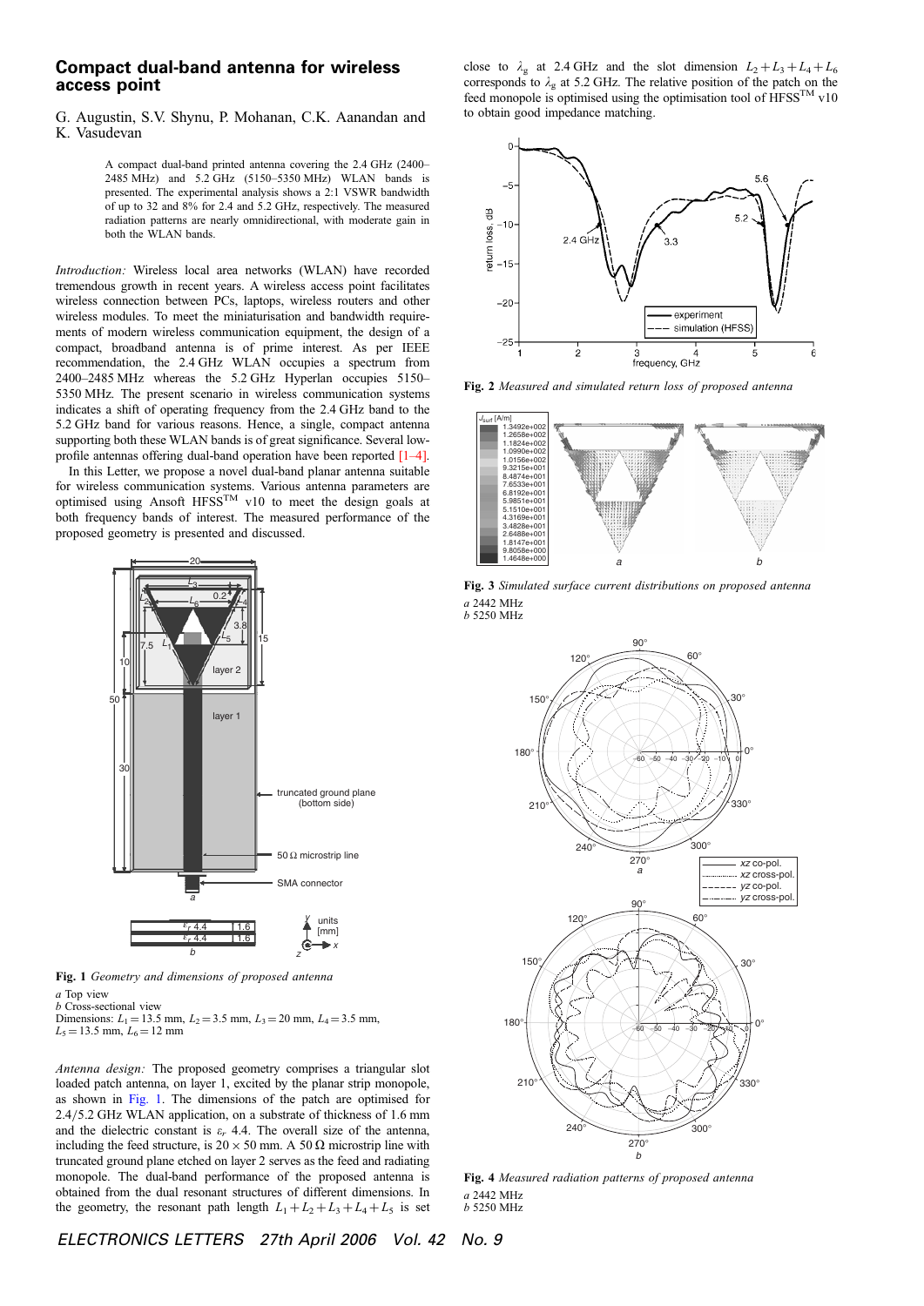## Compact dual-band antenna for wireless access point

## G. Augustin, S.V. Shynu, P. Mohanan, C.K. Aanandan and K. Vasudevan

A compact dual-band printed antenna covering the 2.4 GHz (2400– 2485 MHz) and 5.2 GHz (5150–5350 MHz) WLAN bands is presented. The experimental analysis shows a 2:1 VSWR bandwidth of up to 32 and 8% for 2.4 and 5.2 GHz, respectively. The measured radiation patterns are nearly omnidirectional, with moderate gain in both the WLAN bands.

Introduction: Wireless local area networks (WLAN) have recorded tremendous growth in recent years. A wireless access point facilitates wireless connection between PCs, laptops, wireless routers and other wireless modules. To meet the miniaturisation and bandwidth requirements of modern wireless communication equipment, the design of a compact, broadband antenna is of prime interest. As per IEEE recommendation, the 2.4 GHz WLAN occupies a spectrum from 2400–2485 MHz whereas the 5.2 GHz Hyperlan occupies 5150– 5350 MHz. The present scenario in wireless communication systems indicates a shift of operating frequency from the 2.4 GHz band to the 5.2 GHz band for various reasons. Hence, a single, compact antenna supporting both these WLAN bands is of great significance. Several lowprofile antennas offering dual-band operation have been reported [1–4].

In this Letter, we propose a novel dual-band planar antenna suitable for wireless communication systems. Various antenna parameters are optimised using Ansoft HFSS<sup>TM</sup> v10 to meet the design goals at both frequency bands of interest. The measured performance of the proposed geometry is presented and discussed.



Fig. 1 Geometry and dimensions of proposed antenna a Top view

b Cross-sectional view

Dimensions:  $L_1 = 13.5$  mm,  $L_2 = 3.5$  mm,  $L_3 = 20$  mm,  $L_4 = 3.5$  mm,

 $L_5 = 13.5$  mm,  $L_6 = 12$  mm

Antenna design: The proposed geometry comprises a triangular slot loaded patch antenna, on layer 1, excited by the planar strip monopole, as shown in Fig. 1. The dimensions of the patch are optimised for  $2.4/5.2$  GHz WLAN application, on a substrate of thickness of 1.6 mm and the dielectric constant is  $\varepsilon_r$  4.4. The overall size of the antenna, including the feed structure, is  $20 \times 50$  mm. A 50  $\Omega$  microstrip line with truncated ground plane etched on layer 2 serves as the feed and radiating monopole. The dual-band performance of the proposed antenna is obtained from the dual resonant structures of different dimensions. In the geometry, the resonant path length  $L_1 + L_2 + L_3 + L_4 + L_5$  is set close to  $\lambda_g$  at 2.4 GHz and the slot dimension  $L_2 + L_3 + L_4 + L_6$ corresponds to  $\lambda_g$  at 5.2 GHz. The relative position of the patch on the feed monopole is optimised using the optimisation tool of  $\widehat{HFSS}^{TM}$  v10 to obtain good impedance matching.



Fig. 2 Measured and simulated return loss of proposed antenna



Fig. 3 Simulated surface current distributions on proposed antenna a 2442 MHz



Fig. 4 Measured radiation patterns of proposed antenna a 2442 MHz b 5250 MHz